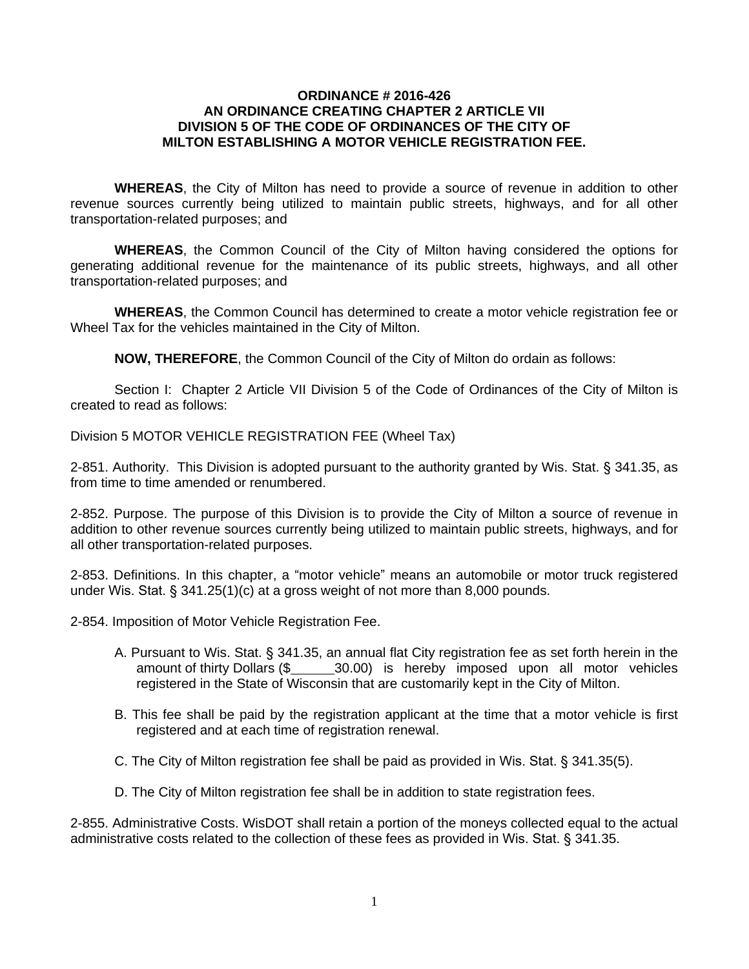## **ORDINANCE # 2016-426 AN ORDINANCE CREATING CHAPTER 2 ARTICLE VII DIVISION 5 OF THE CODE OF ORDINANCES OF THE CITY OF MILTON ESTABLISHING A MOTOR VEHICLE REGISTRATION FEE.**

**WHEREAS**, the City of Milton has need to provide a source of revenue in addition to other revenue sources currently being utilized to maintain public streets, highways, and for all other transportation-related purposes; and

**WHEREAS**, the Common Council of the City of Milton having considered the options for generating additional revenue for the maintenance of its public streets, highways, and all other transportation-related purposes; and

**WHEREAS**, the Common Council has determined to create a motor vehicle registration fee or Wheel Tax for the vehicles maintained in the City of Milton.

**NOW, THEREFORE**, the Common Council of the City of Milton do ordain as follows:

Section I: Chapter 2 Article VII Division 5 of the Code of Ordinances of the City of Milton is created to read as follows:

Division 5 MOTOR VEHICLE REGISTRATION FEE (Wheel Tax)

2-851. Authority. This Division is adopted pursuant to the authority granted by Wis. Stat. § 341.35, as from time to time amended or renumbered.

2-852. Purpose. The purpose of this Division is to provide the City of Milton a source of revenue in addition to other revenue sources currently being utilized to maintain public streets, highways, and for all other transportation-related purposes.

2-853. Definitions. In this chapter, a "motor vehicle" means an automobile or motor truck registered under Wis. Stat. § 341.25(1)(c) at a gross weight of not more than 8,000 pounds.

2-854. Imposition of Motor Vehicle Registration Fee.

- A. Pursuant to Wis. Stat. § 341.35, an annual flat City registration fee as set forth herein in the amount of thirty Dollars (\$ 30.00) is hereby imposed upon all motor vehicles registered in the State of Wisconsin that are customarily kept in the City of Milton.
- B. This fee shall be paid by the registration applicant at the time that a motor vehicle is first registered and at each time of registration renewal.
- C. The City of Milton registration fee shall be paid as provided in Wis. Stat. § 341.35(5).
- D. The City of Milton registration fee shall be in addition to state registration fees.

2-855. Administrative Costs. WisDOT shall retain a portion of the moneys collected equal to the actual administrative costs related to the collection of these fees as provided in Wis. Stat. § 341.35.